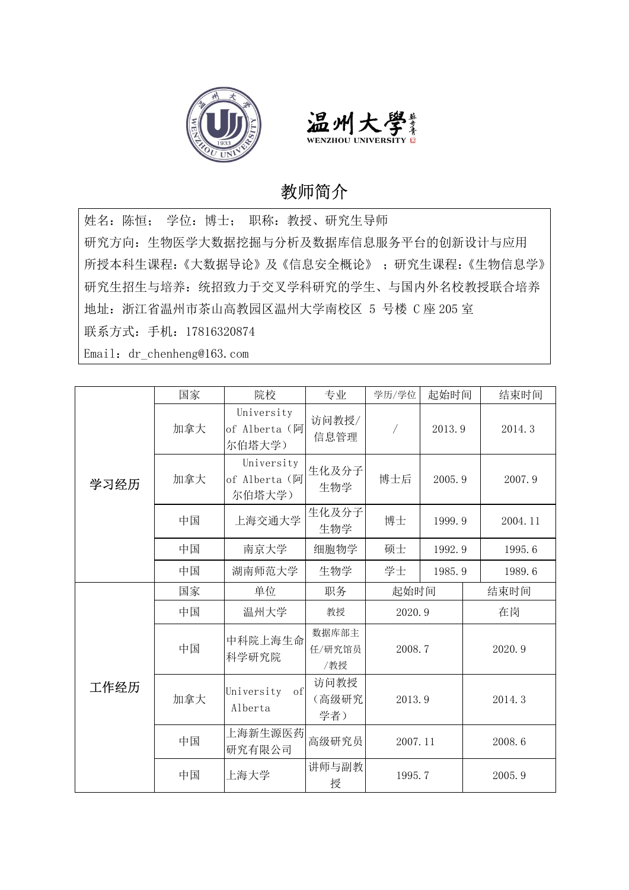



## 教师简介

姓名:陈恒; 学位:博士; 职称:教授、研究生导师 研究方向: 生物医学大数据挖掘与分析及数据库信息服务平台的创新设计与应用<br>所授本科生课程:《大数据导论》及《信息安全概论》 ; 研究生课程:《生物信息学》 研究生招生与培养:统招致力于交叉学科研究的学生、与国内外名校教授联合培养 地址:浙江省温州市茶山高教园区温州大学南校区 5 号楼 C 座 205 室 联系方式:手机:17816320874 Email: dr chenheng@163.com

|      | 国家  | 院校                                    | 专业                     | 学历/学位   | 起始时间   | 结束时间    |
|------|-----|---------------------------------------|------------------------|---------|--------|---------|
|      | 加拿大 | University<br>of Alberta (阿<br>尔伯塔大学) | 访问教授/<br>信息管理          | Γ       | 2013.9 | 2014.3  |
| 学习经历 | 加拿大 | University<br>of Alberta (阿<br>尔伯塔大学) | 生化及分子<br>生物学           | 博士后     | 2005.9 | 2007.9  |
|      | 中国  | 上海交通大学                                | 生化及分子<br>生物学           | 博士      | 1999.9 | 2004.11 |
|      | 中国  | 南京大学                                  | 细胞物学                   | 硕士      | 1992.9 | 1995.6  |
|      | 中国  | 湖南师范大学                                | 生物学                    | 学士      | 1985.9 | 1989.6  |
|      | 国家  | 单位                                    | 职务                     | 起始时间    |        | 结束时间    |
|      | 中国  | 温州大学                                  | 教授                     | 2020.9  |        | 在岗      |
|      | 中国  | 中科院上海生命<br>科学研究院                      | 数据库部主<br>任/研究馆员<br>/教授 | 2008.7  |        | 2020.9  |
| 工作经历 | 加拿大 | University<br>of<br>Alberta           | 访问教授<br>(高级研究<br>学者)   | 2013.9  |        | 2014.3  |
|      | 中国  | 上海新生源医药<br>研究有限公司                     | 高级研究员                  | 2007.11 |        | 2008.6  |
|      | 中国  | 上海大学                                  | 讲师与副教<br>授             | 1995.7  |        | 2005.9  |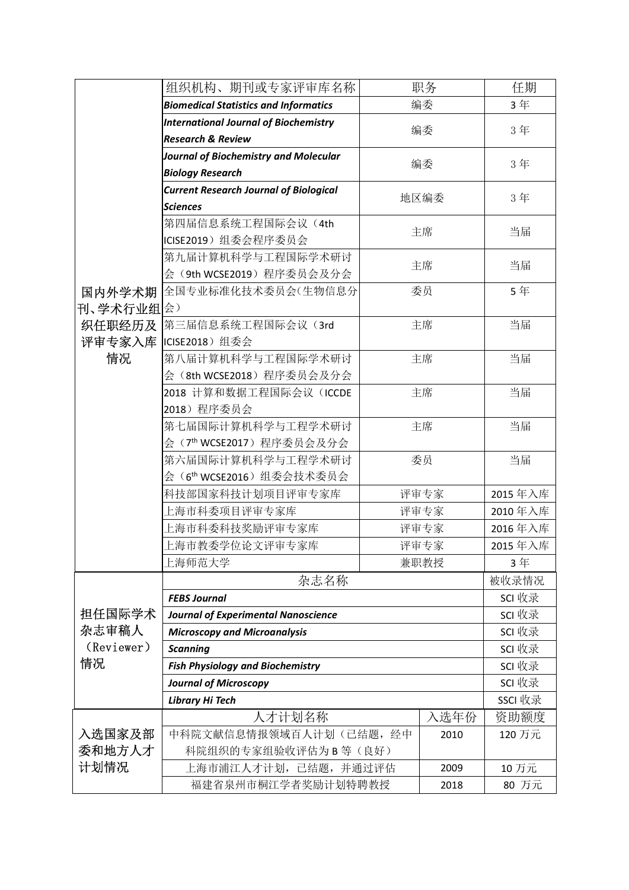|                     | 组织机构、期刊或专家评审库名称                               | 职务   | 任期                |
|---------------------|-----------------------------------------------|------|-------------------|
|                     | <b>Biomedical Statistics and Informatics</b>  | 编委   | 3年                |
|                     | <b>International Journal of Biochemistry</b>  |      |                   |
|                     | <b>Research &amp; Review</b>                  | 编委   | 3年                |
|                     | Journal of Biochemistry and Molecular         |      |                   |
|                     | <b>Biology Research</b>                       | 编委   | 3年                |
|                     | <b>Current Research Journal of Biological</b> | 地区编委 | 3年                |
|                     | <b>Sciences</b>                               |      |                   |
|                     | 第四届信息系统工程国际会议(4th                             | 主席   | 当届                |
|                     | ICISE2019) 组委会程序委员会                           |      |                   |
|                     | 第九届计算机科学与工程国际学术研讨                             | 主席   | 当届                |
|                     | 会(9th WCSE2019)程序委员会及分会                       |      |                   |
| 国内外学术期              | 全国专业标准化技术委员会(生物信息分                            | 委员   | 5年                |
| 刊、学术行业组会)           | 第三届信息系统工程国际会议(3rd                             | 主席   | 当届                |
| 织任职经历及<br>评审专家入库    | ICISE2018) 组委会                                |      |                   |
| 情况                  | 第八届计算机科学与工程国际学术研讨                             | 主席   | 当届                |
|                     | 会(8th WCSE2018) 程序委员会及分会                      |      |                   |
|                     | 2018 计算和数据工程国际会议 (ICCDE                       | 主席   | 当届                |
|                     | 2018) 程序委员会                                   |      |                   |
|                     | 第七届国际计算机科学与工程学术研讨                             | 主席   | 当届                |
|                     | 会(7th WCSE2017) 程序委员会及分会                      |      |                   |
|                     | 第六届国际计算机科学与工程学术研讨                             | 委员   | 当届                |
|                     | 会 (6 <sup>th</sup> WCSE2016) 组委会技术委员会         |      |                   |
|                     | 科技部国家科技计划项目评审专家库                              | 评审专家 | 2015年入库           |
|                     | 上海市科委项目评审专家库                                  | 评审专家 | 2010年入库           |
|                     | 上海市科委科技奖励评审专家库                                | 评审专家 | 2016年入库           |
|                     | 上海市教委学位论文评审专家库                                | 评审专家 | 2015年入库           |
|                     | 上海师范大学                                        | 兼职教授 | 3年                |
|                     | 杂志名称                                          |      | 被收录情况             |
|                     | <b>FEBS Journal</b>                           |      | SCI 收录            |
| 担任国际学术              | <b>Journal of Experimental Nanoscience</b>    |      | SCI 收录            |
| 杂志审稿人<br>(Reviewer) | <b>Microscopy and Microanalysis</b>           |      | SCI 收录            |
| 情况                  | <b>Scanning</b>                               |      | SCI 收录            |
|                     | <b>Fish Physiology and Biochemistry</b>       |      | SCI 收录            |
|                     | <b>Journal of Microscopy</b>                  |      | SCI 收录<br>SSCI 收录 |
|                     | Library Hi Tech<br>人才计划名称                     | 入选年份 | 资助额度              |
| 入选国家及部              | 中科院文献信息情报领域百人计划(己结题,经中                        | 2010 | 120 万元            |
| 委和地方人才              | 科院组织的专家组验收评估为B等(良好)                           |      |                   |
| 计划情况                | 上海市浦江人才计划, 已结题, 并通过评估                         | 2009 | 10 万元             |
|                     | 福建省泉州市桐江学者奖励计划特聘教授                            | 2018 | 80 万元             |
|                     |                                               |      |                   |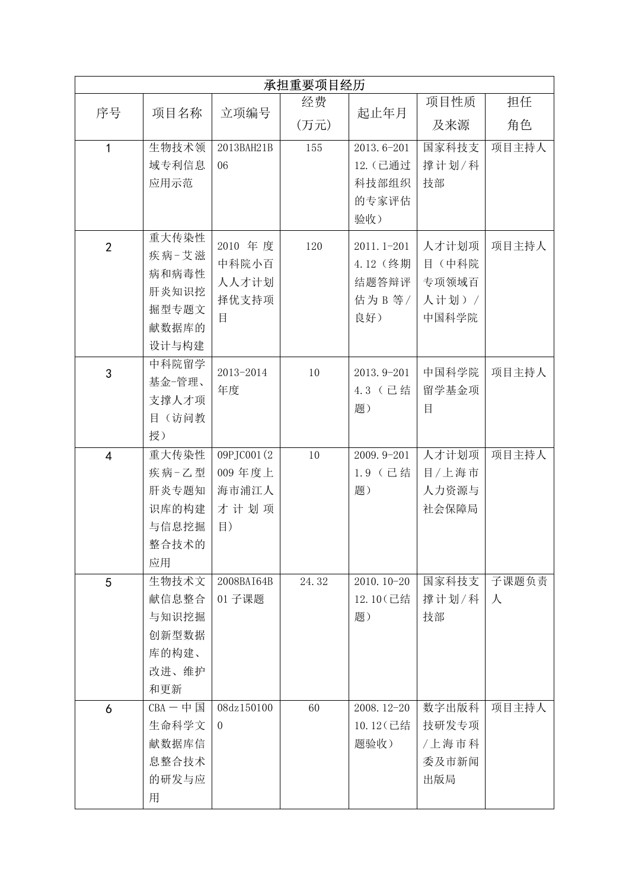|                     |                                                             |                                                   | 承担重要项目经历 |                                                   |                                             |            |
|---------------------|-------------------------------------------------------------|---------------------------------------------------|----------|---------------------------------------------------|---------------------------------------------|------------|
| 序号                  |                                                             |                                                   | 经费       |                                                   | 项目性质                                        | 担任         |
|                     | 项目名称                                                        | 立项编号                                              | (万元)     | 起止年月                                              | 及来源                                         | 角色         |
| $\mathbf{1}$        | 生物技术领<br>域专利信息<br>应用示范                                      | 2013BAH21B<br>06                                  | 155      | 2013.6-201<br>12. (己通过<br>科技部组织<br>的专家评估<br>验收)   | 国家科技支<br>撑计划/科<br>技部                        | 项目主持人      |
| $\overline{2}$      | 重大传染性<br>疾病-艾滋<br>病和病毒性<br>肝炎知识挖<br>掘型专题文<br>献数据库的<br>设计与构建 | 2010 年度<br>中科院小百<br>人人才计划<br>择优支持项<br>目           | 120      | 2011.1-201<br>4.12 (终期<br>结题答辩评<br>估为 B 等/<br>良好) | 人才计划项<br>目 (中科院<br>专项领域百<br>人计划) /<br>中国科学院 | 项目主持人      |
| $\mathfrak{S}$      | 中科院留学<br>基金一管理、<br>支撑人才项<br>目(访问教<br>授)                     | 2013-2014<br>年度                                   | 10       | 2013.9-201<br>4.3 (已结<br>题)                       | 中国科学院<br>留学基金项<br>目                         | 项目主持人      |
| $\overline{4}$      | 重大传染性<br>疾病-乙型<br>肝炎专题知<br>识库的构建<br>与信息挖掘<br>整合技术的<br>应用    | 09PJC001(2)<br>009年度上<br>海市浦江人<br>才计划项<br>$\vert$ | 10       | 2009.9-201<br>1.9 (已结<br>题)                       | 人才计划项<br>目/上海市<br>人力资源与<br>社会保障局            | 项目主持人      |
| 5                   | 生物技术文<br>献信息整合<br>与知识挖掘<br>创新型数据<br>库的构建、<br>改进、维护<br>和更新   | 2008BAI64B<br>01 子课题                              | 24.32    | 2010. 10-20<br>12.10 (已结<br>题)                    | 国家科技支<br>撑计划/科<br>技部                        | 子课题负责<br>人 |
| $\ddot{\mathbf{6}}$ | $CBA - $ 中国<br>生命科学文<br>献数据库信<br>息整合技术<br>的研发与应<br>用        | 08dz150100<br>$\overline{0}$                      | 60       | 2008. 12-20<br>10.12 (已结<br>题验收)                  | 数字出版科<br>技研发专项<br>/上海市科<br>委及市新闻<br>出版局     | 项目主持人      |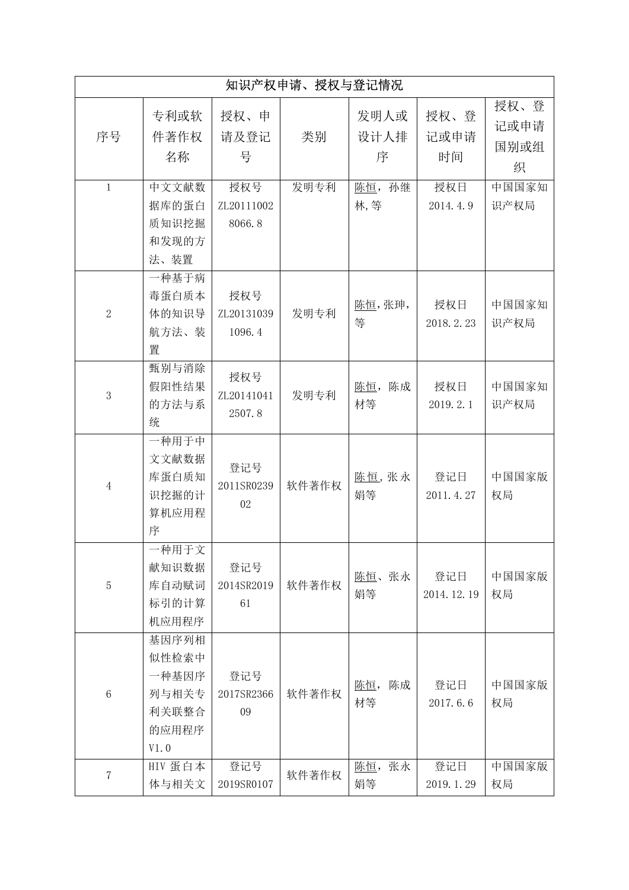|                |                                                            |                             | 知识产权申请、授权与登记情况 |                         |                    |                           |
|----------------|------------------------------------------------------------|-----------------------------|----------------|-------------------------|--------------------|---------------------------|
| 序号             | 专利或软<br>件著作权<br>名称                                         | 授权、申<br>请及登记<br>号           | 类别             | 发明人或<br>设计人排<br>序       | 授权、登<br>记或申请<br>时间 | 授权、登<br>记或申请<br>国别或组<br>织 |
| $\mathbf{1}$   | 中文文献数<br>据库的蛋白<br>质知识挖掘<br>和发现的方<br>法、装置                   | 授权号<br>ZL20111002<br>8066.8 | 发明专利           | 陈恒,<br>孙继<br>林,等        | 授权日<br>2014.4.9    | 中国国家知<br>识产权局             |
| $\overline{2}$ | 一种基于病<br>毒蛋白质本<br>体的知识导<br>航方法、装<br>置                      | 授权号<br>ZL20131039<br>1096.4 | 发明专利           | 陈恒,张珅,<br>等             | 授权日<br>2018.2.23   | 中国国家知<br>识产权局             |
| 3              | 甄别与消除<br>假阳性结果<br>的方法与系<br>统                               | 授权号<br>ZL20141041<br>2507.8 | 发明专利           | 陈成<br>陈恒,<br>材等         | 授权日<br>2019.2.1    | 中国国家知<br>识产权局             |
| $\sqrt{4}$     | 一种用于中<br>文文献数据<br>库蛋白质知<br>识挖掘的计<br>算机应用程<br>序             | 登记号<br>2011SR0239<br>02     | 软件著作权          | 陈恒, 张永<br>娟等            | 登记日<br>2011.4.27   | 中国国家版<br>权局               |
| $\overline{5}$ | 一种用于文<br>献知识数据<br>库自动赋词<br>标引的计算<br>机应用程序                  | 登记号<br>2014SR2019<br>61     | 软件著作权          | 陈恒、张永<br>娟等             | 登记日<br>2014.12.19  | 中国国家版<br>权局               |
| $\,6\,$        | 基因序列相<br>似性检索中<br>一种基因序<br>列与相关专<br>利关联整合<br>的应用程序<br>V1.0 | 登记号<br>2017SR2366<br>09     | 软件著作权          | 陈成<br><u>陈恒</u> ,<br>材等 | 登记日<br>2017.6.6    | 中国国家版<br>权局               |
| $\overline{7}$ | HIV 蛋白本<br>体与相关文                                           | 登记号<br>2019SR0107           | 软件著作权          | 张永<br>陈恒,<br>娟等         | 登记日<br>2019.1.29   | 中国国家版<br>权局               |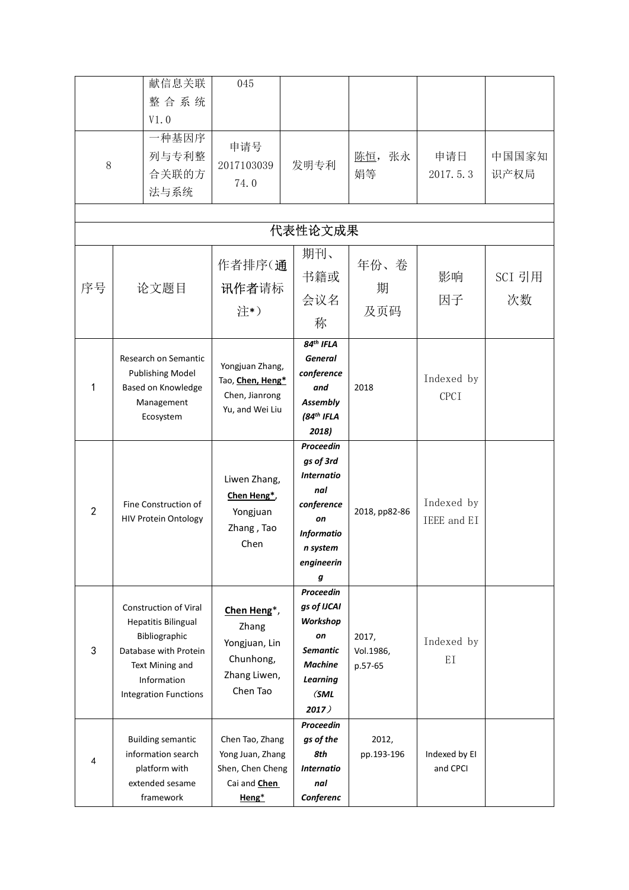|                | 献信息关联<br>整合系统<br>V1.0                                                                                                                                           | 045                                                                                     |                                                                                                                     |                               |                           |               |
|----------------|-----------------------------------------------------------------------------------------------------------------------------------------------------------------|-----------------------------------------------------------------------------------------|---------------------------------------------------------------------------------------------------------------------|-------------------------------|---------------------------|---------------|
| $8\,$          | 一种基因序<br>列与专利整<br>合关联的方<br>法与系统                                                                                                                                 | 申请号<br>2017103039<br>74.0                                                               | 发明专利                                                                                                                | 陈恒,<br>张永<br>娟等               | 申请日<br>2017.5.3           | 中国国家知<br>识产权局 |
|                |                                                                                                                                                                 |                                                                                         | 代表性论文成果                                                                                                             |                               |                           |               |
| 序号             | 论文题目                                                                                                                                                            | 作者排序(通<br>讯作者请标<br>注*)                                                                  | 期刊、<br>书籍或<br>会议名<br>称                                                                                              | 年份、卷<br>期<br>及页码              | 影响<br>因子                  | SCI 引用<br>次数  |
| 1              | Research on Semantic<br><b>Publishing Model</b><br>Based on Knowledge<br>Management<br>Ecosystem                                                                | Yongjuan Zhang,<br>Tao, Chen, Heng*<br>Chen, Jianrong<br>Yu, and Wei Liu                | $84th$ IFLA<br><b>General</b><br>conference<br>and<br>Assembly<br>$(84th$ IFLA<br>2018)                             | 2018                          | Indexed by<br><b>CPCI</b> |               |
| $\overline{2}$ | Fine Construction of<br><b>HIV Protein Ontology</b>                                                                                                             | Liwen Zhang,<br>Chen Heng*,<br>Yongjuan<br>Zhang, Tao<br>Chen                           | Proceedin<br>gs of 3rd<br>Internatio<br>nal<br>conference<br>on<br><b>Informatio</b><br>n system<br>engineerin<br>g | 2018, pp82-86                 | Indexed by<br>IEEE and EI |               |
| 3              | Construction of Viral<br><b>Hepatitis Bilingual</b><br>Bibliographic<br>Database with Protein<br>Text Mining and<br>Information<br><b>Integration Functions</b> | Chen Heng*,<br>Zhang<br>Yongjuan, Lin<br>Chunhong,<br>Zhang Liwen,<br>Chen Tao          | Proceedin<br>gs of IJCAI<br>Workshop<br>on<br><b>Semantic</b><br><b>Machine</b><br><b>Learning</b><br>(SML<br>2017) | 2017,<br>Vol.1986,<br>p.57-65 | Indexed by<br>EI          |               |
| 4              | <b>Building semantic</b><br>information search<br>platform with<br>extended sesame<br>framework                                                                 | Chen Tao, Zhang<br>Yong Juan, Zhang<br>Shen, Chen Cheng<br>Cai and <b>Chen</b><br>Heng* | Proceedin<br>gs of the<br>8th<br><b>Internatio</b><br>nal<br>Conferenc                                              | 2012,<br>pp.193-196           | Indexed by EI<br>and CPCI |               |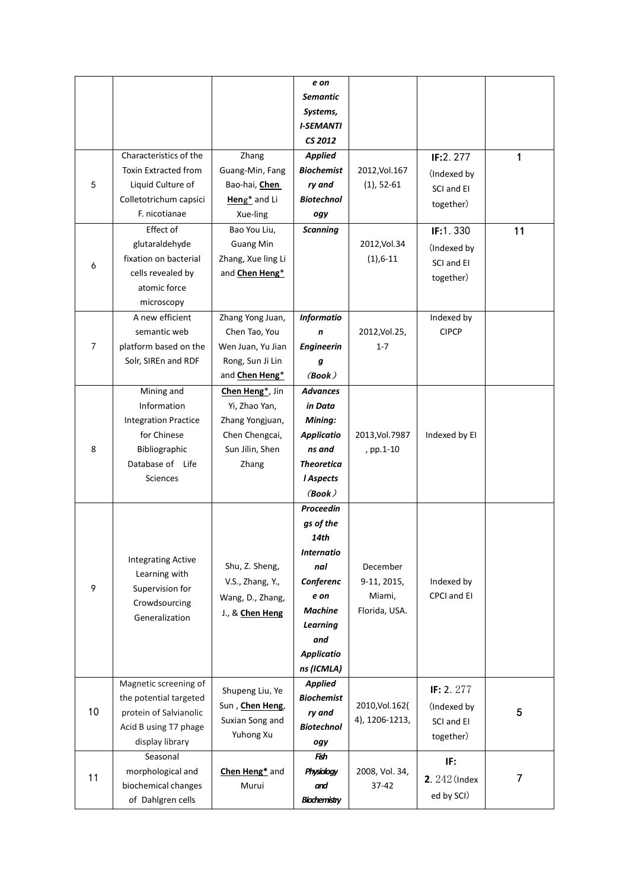|                |                                                                                                                          |                                                                                                   | e on<br><b>Semantic</b><br>Systems,<br><b>I-SEMANTI</b><br>CS 2012                                                                                             |                                                    |                                                        |                |
|----------------|--------------------------------------------------------------------------------------------------------------------------|---------------------------------------------------------------------------------------------------|----------------------------------------------------------------------------------------------------------------------------------------------------------------|----------------------------------------------------|--------------------------------------------------------|----------------|
| 5              | Characteristics of the<br>Toxin Extracted from<br>Liquid Culture of<br>Colletotrichum capsici                            | Zhang<br>Guang-Min, Fang<br>Bao-hai, Chen<br>Heng <sup>*</sup> and Li                             | <b>Applied</b><br><b>Biochemist</b><br>ry and<br><b>Biotechnol</b>                                                                                             | 2012, Vol. 167<br>$(1), 52-61$                     | IF:2.277<br>(Indexed by<br>SCI and EI<br>together)     | $\mathbf 1$    |
| 6              | F. nicotianae<br>Effect of<br>glutaraldehyde<br>fixation on bacterial<br>cells revealed by<br>atomic force<br>microscopy | Xue-ling<br>Bao You Liu,<br><b>Guang Min</b><br>Zhang, Xue ling Li<br>and <b>Chen Heng*</b>       | ogy<br><b>Scanning</b>                                                                                                                                         | 2012, Vol. 34<br>$(1), 6-11$                       | IF:1.330<br>(Indexed by<br>SCI and EI<br>together)     | 11             |
| $\overline{7}$ | A new efficient<br>semantic web<br>platform based on the<br>Solr, SIREn and RDF                                          | Zhang Yong Juan,<br>Chen Tao, You<br>Wen Juan, Yu Jian<br>Rong, Sun Ji Lin<br>and Chen Heng*      | <b>Informatio</b><br>$\mathbf n$<br><b>Engineerin</b><br>g<br>(Book)                                                                                           | 2012, Vol. 25,<br>$1 - 7$                          | Indexed by<br>$C$ $PCP$                                |                |
| 8              | Mining and<br>Information<br><b>Integration Practice</b><br>for Chinese<br>Bibliographic<br>Database of Life<br>Sciences | Chen Heng*, Jin<br>Yi, Zhao Yan,<br>Zhang Yongjuan,<br>Chen Chengcai,<br>Sun Jilin, Shen<br>Zhang | <b>Advances</b><br>in Data<br>Mining:<br><b>Applicatio</b><br>ns and<br><b>Theoretica</b><br><b>I</b> Aspects<br>(Book)                                        | 2013, Vol. 7987<br>, pp.1-10                       | Indexed by EI                                          |                |
| 9              | <b>Integrating Active</b><br>Learning with<br>Supervision for<br>Crowdsourcing<br>Generalization                         | Shu, Z. Sheng,<br>V.S., Zhang, Y.,<br>Wang, D., Zhang,<br>J., & Chen Heng                         | Proceedin<br>gs of the<br>14th<br><b>Internatio</b><br>nal<br>Conferenc<br>e on<br><b>Machine</b><br><b>Learning</b><br>and<br><b>Applicatio</b><br>ns (ICMLA) | December<br>9-11, 2015,<br>Miami,<br>Florida, USA. | Indexed by<br>CPCI and EI                              |                |
| 10             | Magnetic screening of<br>the potential targeted<br>protein of Salvianolic<br>Acid B using T7 phage<br>display library    | Shupeng Liu, Ye<br>Sun, Chen Heng,<br>Suxian Song and<br>Yuhong Xu                                | <b>Applied</b><br><b>Biochemist</b><br>ry and<br><b>Biotechnol</b><br>ogy                                                                                      | 2010, Vol. 162(<br>4), 1206-1213,                  | IF: 2. $277$<br>(Indexed by<br>SCI and EI<br>together) | 5              |
| 11             | Seasonal<br>morphological and<br>biochemical changes<br>of Dahlgren cells                                                | Chen Heng* and<br>Murui                                                                           | Fish<br>Physiology<br>and<br>Biochemistry                                                                                                                      | 2008, Vol. 34,<br>$37-42$                          | IF:<br><b>2.</b> 242 (Index<br>ed by SCI)              | $\overline{7}$ |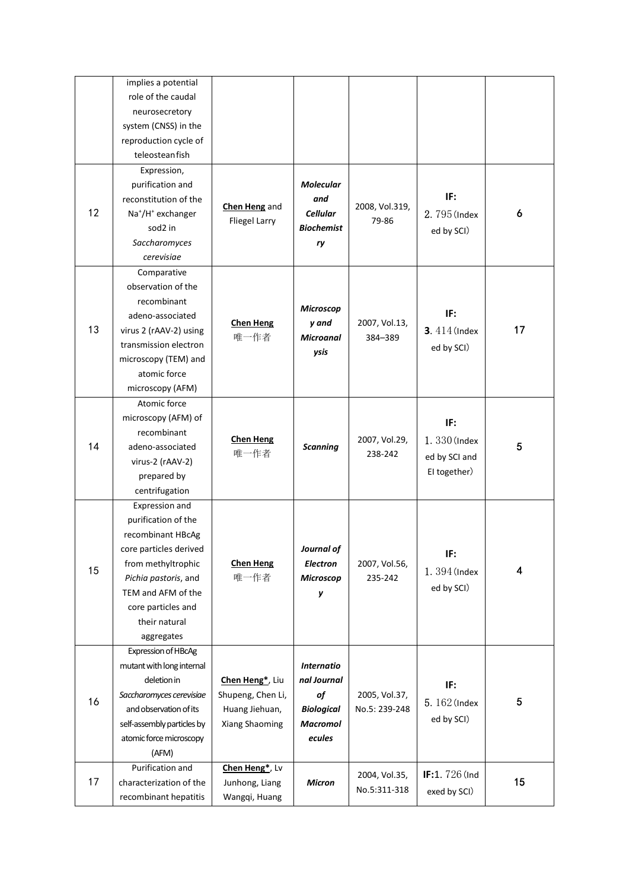|    | implies a potential<br>role of the caudal<br>neurosecretory<br>system (CNSS) in the<br>reproduction cycle of<br>teleosteanfish                                                                                |                                                                          |                                                                                          |                                |                                                      |                         |
|----|---------------------------------------------------------------------------------------------------------------------------------------------------------------------------------------------------------------|--------------------------------------------------------------------------|------------------------------------------------------------------------------------------|--------------------------------|------------------------------------------------------|-------------------------|
| 12 | Expression,<br>purification and<br>reconstitution of the<br>Na <sup>+</sup> /H <sup>+</sup> exchanger<br>sod2 in<br>Saccharomyces<br>cerevisiae                                                               | <b>Chen Heng</b> and<br><b>Fliegel Larry</b>                             | <b>Molecular</b><br>and<br><b>Cellular</b><br><b>Biochemist</b><br>ry                    | 2008, Vol.319,<br>79-86        | IF:<br>2.795 (Index<br>ed by SCI)                    | 6                       |
| 13 | Comparative<br>observation of the<br>recombinant<br>adeno-associated<br>virus 2 (rAAV-2) using<br>transmission electron<br>microscopy (TEM) and<br>atomic force<br>microscopy (AFM)                           | <b>Chen Heng</b><br>唯一作者                                                 | <b>Microscop</b><br>y and<br><b>Microanal</b><br>ysis                                    | 2007, Vol.13,<br>384-389       | IF:<br><b>3.</b> 414 (Index<br>ed by SCI)            | 17                      |
| 14 | Atomic force<br>microscopy (AFM) of<br>recombinant<br>adeno-associated<br>virus-2 (rAAV-2)<br>prepared by<br>centrifugation                                                                                   | <b>Chen Heng</b><br>唯一作者                                                 | <b>Scanning</b>                                                                          | 2007, Vol.29,<br>238-242       | IF:<br>1.330 (Index<br>ed by SCI and<br>EI together) | $\overline{\mathbf{5}}$ |
| 15 | Expression and<br>purification of the<br>recombinant HBcAg<br>core particles derived<br>from methyltrophic<br>Pichia pastoris, and<br>TEM and AFM of the<br>core particles and<br>their natural<br>aggregates | <b>Chen Heng</b><br>唯一作者                                                 | Journal of<br>Electron<br><b>Microscop</b><br>у                                          | 2007, Vol.56,<br>235-242       | IF:<br>1.394 (Index<br>ed by SCI)                    | $\overline{\mathbf{4}}$ |
| 16 | Expression of HBcAg<br>mutant with long internal<br>deletion in<br>Saccharomyces cerevisiae<br>and observation of its<br>self-assembly particles by<br>atomic force microscopy<br>(AFM)                       | Chen Heng*, Liu<br>Shupeng, Chen Li,<br>Huang Jiehuan,<br>Xiang Shaoming | <b>Internatio</b><br>nal Journal<br>of<br><b>Biological</b><br><b>Macromol</b><br>ecules | 2005, Vol.37,<br>No.5: 239-248 | IF:<br>5. 162 (Index<br>ed by SCI)                   | $\overline{\mathbf{5}}$ |
| 17 | Purification and<br>characterization of the<br>recombinant hepatitis                                                                                                                                          | Chen Heng*, Lv<br>Junhong, Liang<br>Wangqi, Huang                        | <b>Micron</b>                                                                            | 2004, Vol.35,<br>No.5:311-318  | IF:1.726 (Ind<br>exed by SCI)                        | $15\phantom{.0}$        |